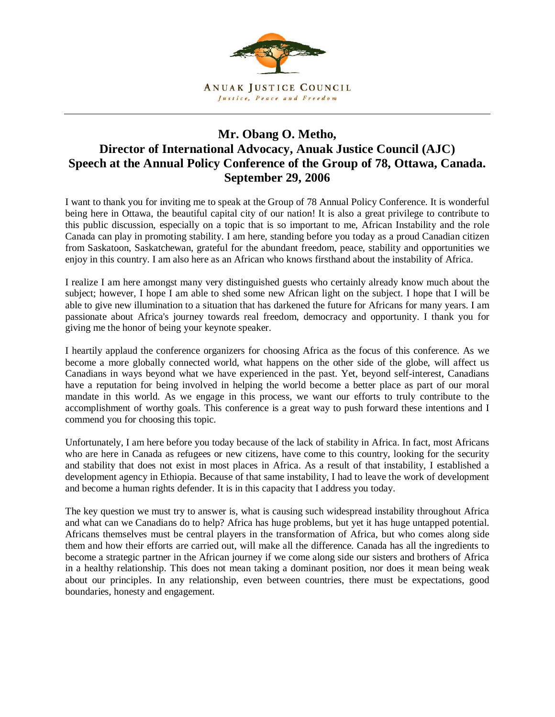

## **Mr. Obang O. Metho, Director of International Advocacy, Anuak Justice Council (AJC) Speech at the Annual Policy Conference of the Group of 78, Ottawa, Canada. September 29, 2006**

I want to thank you for inviting me to speak at the Group of 78 Annual Policy Conference. It is wonderful being here in Ottawa, the beautiful capital city of our nation! It is also a great privilege to contribute to this public discussion, especially on a topic that is so important to me, African Instability and the role Canada can play in promoting stability. I am here, standing before you today as a proud Canadian citizen from Saskatoon, Saskatchewan, grateful for the abundant freedom, peace, stability and opportunities we enjoy in this country. I am also here as an African who knows firsthand about the instability of Africa.

I realize I am here amongst many very distinguished guests who certainly already know much about the subject; however, I hope I am able to shed some new African light on the subject. I hope that I will be able to give new illumination to a situation that has darkened the future for Africans for many years. I am passionate about Africa's journey towards real freedom, democracy and opportunity. I thank you for giving me the honor of being your keynote speaker.

I heartily applaud the conference organizers for choosing Africa as the focus of this conference. As we become a more globally connected world, what happens on the other side of the globe, will affect us Canadians in ways beyond what we have experienced in the past. Yet, beyond self-interest, Canadians have a reputation for being involved in helping the world become a better place as part of our moral mandate in this world. As we engage in this process, we want our efforts to truly contribute to the accomplishment of worthy goals. This conference is a great way to push forward these intentions and I commend you for choosing this topic.

Unfortunately, I am here before you today because of the lack of stability in Africa. In fact, most Africans who are here in Canada as refugees or new citizens, have come to this country, looking for the security and stability that does not exist in most places in Africa. As a result of that instability, I established a development agency in Ethiopia. Because of that same instability, I had to leave the work of development and become a human rights defender. It is in this capacity that I address you today.

The key question we must try to answer is, what is causing such widespread instability throughout Africa and what can we Canadians do to help? Africa has huge problems, but yet it has huge untapped potential. Africans themselves must be central players in the transformation of Africa, but who comes along side them and how their efforts are carried out, will make all the difference. Canada has all the ingredients to become a strategic partner in the African journey if we come along side our sisters and brothers of Africa in a healthy relationship. This does not mean taking a dominant position, nor does it mean being weak about our principles. In any relationship, even between countries, there must be expectations, good boundaries, honesty and engagement.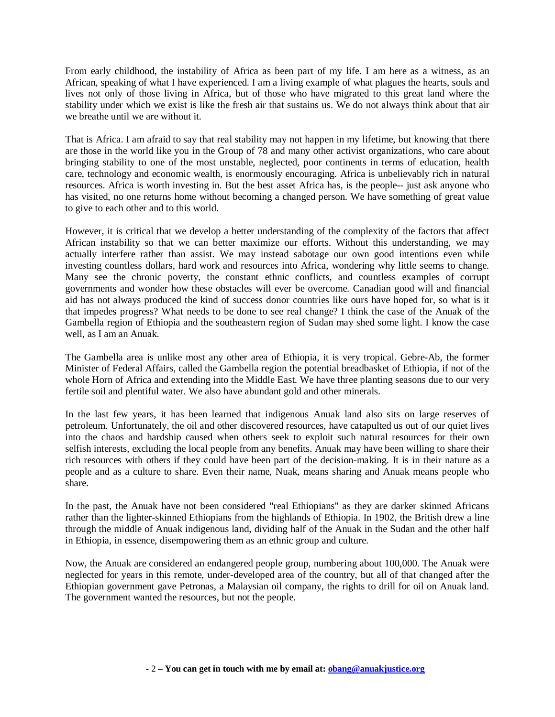From early childhood, the instability of Africa as been part of my life. I am here as a witness, as an African, speaking of what I have experienced. I am a living example of what plagues the hearts, souls and lives not only of those living in Africa, but of those who have migrated to this great land where the stability under which we exist is like the fresh air that sustains us. We do not always think about that air we breathe until we are without it.

That is Africa. I am afraid to say that real stability may not happen in my lifetime, but knowing that there are those in the world like you in the Group of 78 and many other activist organizations, who care about bringing stability to one of the most unstable, neglected, poor continents in terms of education, health care, technology and economic wealth, is enormously encouraging. Africa is unbelievably rich in natural resources. Africa is worth investing in. But the best asset Africa has, is the people-- just ask anyone who has visited, no one returns home without becoming a changed person. We have something of great value to give to each other and to this world.

However, it is critical that we develop a better understanding of the complexity of the factors that affect African instability so that we can better maximize our efforts. Without this understanding, we may actually interfere rather than assist. We may instead sabotage our own good intentions even while investing countless dollars, hard work and resources into Africa, wondering why little seems to change. Many see the chronic poverty, the constant ethnic conflicts, and countless examples of corrupt governments and wonder how these obstacles will ever be overcome. Canadian good will and financial aid has not always produced the kind of success donor countries like ours have hoped for, so what is it that impedes progress? What needs to be done to see real change? I think the case of the Anuak of the Gambella region of Ethiopia and the southeastern region of Sudan may shed some light. I know the case well, as I am an Anuak.

The Gambella area is unlike most any other area of Ethiopia, it is very tropical. Gebre-Ab, the former Minister of Federal Affairs, called the Gambella region the potential breadbasket of Ethiopia, if not of the whole Horn of Africa and extending into the Middle East. We have three planting seasons due to our very fertile soil and plentiful water. We also have abundant gold and other minerals.

In the last few years, it has been learned that indigenous Anuak land also sits on large reserves of petroleum. Unfortunately, the oil and other discovered resources, have catapulted us out of our quiet lives into the chaos and hardship caused when others seek to exploit such natural resources for their own selfish interests, excluding the local people from any benefits. Anuak may have been willing to share their rich resources with others if they could have been part of the decision-making. It is in their nature as a people and as a culture to share. Even their name, Nuak, means sharing and Anuak means people who share.

In the past, the Anuak have not been considered "real Ethiopians" as they are darker skinned Africans rather than the lighter-skinned Ethiopians from the highlands of Ethiopia. In 1902, the British drew a line through the middle of Anuak indigenous land, dividing half of the Anuak in the Sudan and the other half in Ethiopia, in essence, disempowering them as an ethnic group and culture.

Now, the Anuak are considered an endangered people group, numbering about 100,000. The Anuak were neglected for years in this remote, under-developed area of the country, but all of that changed after the Ethiopian government gave Petronas, a Malaysian oil company, the rights to drill for oil on Anuak land. The government wanted the resources, but not the people.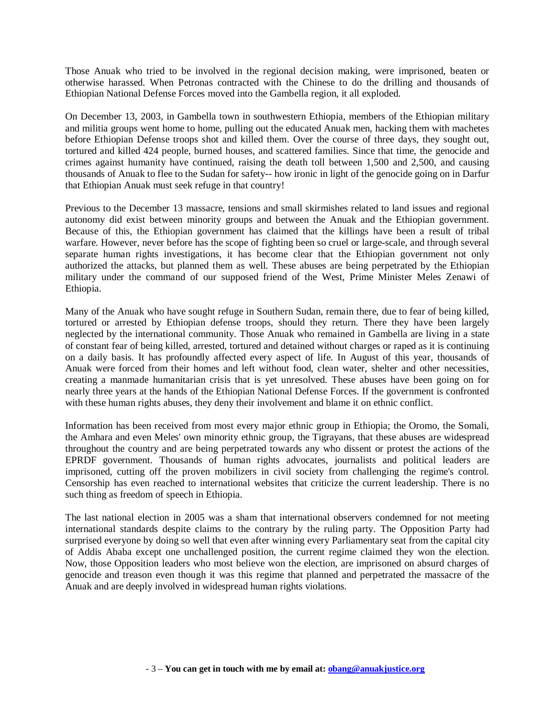Those Anuak who tried to be involved in the regional decision making, were imprisoned, beaten or otherwise harassed. When Petronas contracted with the Chinese to do the drilling and thousands of Ethiopian National Defense Forces moved into the Gambella region, it all exploded.

On December 13, 2003, in Gambella town in southwestern Ethiopia, members of the Ethiopian military and militia groups went home to home, pulling out the educated Anuak men, hacking them with machetes before Ethiopian Defense troops shot and killed them. Over the course of three days, they sought out, tortured and killed 424 people, burned houses, and scattered families. Since that time, the genocide and crimes against humanity have continued, raising the death toll between 1,500 and 2,500, and causing thousands of Anuak to flee to the Sudan for safety-- how ironic in light of the genocide going on in Darfur that Ethiopian Anuak must seek refuge in that country!

Previous to the December 13 massacre, tensions and small skirmishes related to land issues and regional autonomy did exist between minority groups and between the Anuak and the Ethiopian government. Because of this, the Ethiopian government has claimed that the killings have been a result of tribal warfare. However, never before has the scope of fighting been so cruel or large-scale, and through several separate human rights investigations, it has become clear that the Ethiopian government not only authorized the attacks, but planned them as well. These abuses are being perpetrated by the Ethiopian military under the command of our supposed friend of the West, Prime Minister Meles Zenawi of Ethiopia.

Many of the Anuak who have sought refuge in Southern Sudan, remain there, due to fear of being killed, tortured or arrested by Ethiopian defense troops, should they return. There they have been largely neglected by the international community. Those Anuak who remained in Gambella are living in a state of constant fear of being killed, arrested, tortured and detained without charges or raped as it is continuing on a daily basis. It has profoundly affected every aspect of life. In August of this year, thousands of Anuak were forced from their homes and left without food, clean water, shelter and other necessities, creating a manmade humanitarian crisis that is yet unresolved. These abuses have been going on for nearly three years at the hands of the Ethiopian National Defense Forces. If the government is confronted with these human rights abuses, they deny their involvement and blame it on ethnic conflict.

Information has been received from most every major ethnic group in Ethiopia; the Oromo, the Somali, the Amhara and even Meles' own minority ethnic group, the Tigrayans, that these abuses are widespread throughout the country and are being perpetrated towards any who dissent or protest the actions of the EPRDF government. Thousands of human rights advocates, journalists and political leaders are imprisoned, cutting off the proven mobilizers in civil society from challenging the regime's control. Censorship has even reached to international websites that criticize the current leadership. There is no such thing as freedom of speech in Ethiopia.

The last national election in 2005 was a sham that international observers condemned for not meeting international standards despite claims to the contrary by the ruling party. The Opposition Party had surprised everyone by doing so well that even after winning every Parliamentary seat from the capital city of Addis Ababa except one unchallenged position, the current regime claimed they won the election. Now, those Opposition leaders who most believe won the election, are imprisoned on absurd charges of genocide and treason even though it was this regime that planned and perpetrated the massacre of the Anuak and are deeply involved in widespread human rights violations.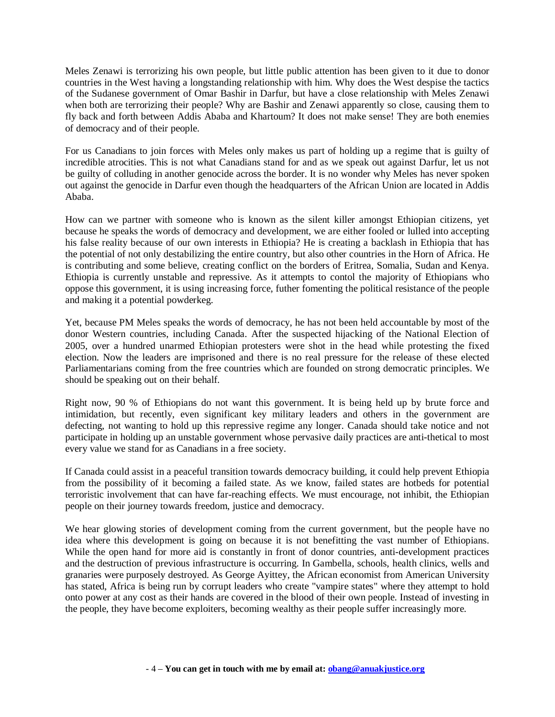Meles Zenawi is terrorizing his own people, but little public attention has been given to it due to donor countries in the West having a longstanding relationship with him. Why does the West despise the tactics of the Sudanese government of Omar Bashir in Darfur, but have a close relationship with Meles Zenawi when both are terrorizing their people? Why are Bashir and Zenawi apparently so close, causing them to fly back and forth between Addis Ababa and Khartoum? It does not make sense! They are both enemies of democracy and of their people.

For us Canadians to join forces with Meles only makes us part of holding up a regime that is guilty of incredible atrocities. This is not what Canadians stand for and as we speak out against Darfur, let us not be guilty of colluding in another genocide across the border. It is no wonder why Meles has never spoken out against the genocide in Darfur even though the headquarters of the African Union are located in Addis Ababa.

How can we partner with someone who is known as the silent killer amongst Ethiopian citizens, yet because he speaks the words of democracy and development, we are either fooled or lulled into accepting his false reality because of our own interests in Ethiopia? He is creating a backlash in Ethiopia that has the potential of not only destabilizing the entire country, but also other countries in the Horn of Africa. He is contributing and some believe, creating conflict on the borders of Eritrea, Somalia, Sudan and Kenya. Ethiopia is currently unstable and repressive. As it attempts to contol the majority of Ethiopians who oppose this government, it is using increasing force, futher fomenting the political resistance of the people and making it a potential powderkeg.

Yet, because PM Meles speaks the words of democracy, he has not been held accountable by most of the donor Western countries, including Canada. After the suspected hijacking of the National Election of 2005, over a hundred unarmed Ethiopian protesters were shot in the head while protesting the fixed election. Now the leaders are imprisoned and there is no real pressure for the release of these elected Parliamentarians coming from the free countries which are founded on strong democratic principles. We should be speaking out on their behalf.

Right now, 90 % of Ethiopians do not want this government. It is being held up by brute force and intimidation, but recently, even significant key military leaders and others in the government are defecting, not wanting to hold up this repressive regime any longer. Canada should take notice and not participate in holding up an unstable government whose pervasive daily practices are anti-thetical to most every value we stand for as Canadians in a free society.

If Canada could assist in a peaceful transition towards democracy building, it could help prevent Ethiopia from the possibility of it becoming a failed state. As we know, failed states are hotbeds for potential terroristic involvement that can have far-reaching effects. We must encourage, not inhibit, the Ethiopian people on their journey towards freedom, justice and democracy.

We hear glowing stories of development coming from the current government, but the people have no idea where this development is going on because it is not benefitting the vast number of Ethiopians. While the open hand for more aid is constantly in front of donor countries, anti-development practices and the destruction of previous infrastructure is occurring. In Gambella, schools, health clinics, wells and granaries were purposely destroyed. As George Ayittey, the African economist from American University has stated, Africa is being run by corrupt leaders who create "vampire states" where they attempt to hold onto power at any cost as their hands are covered in the blood of their own people. Instead of investing in the people, they have become exploiters, becoming wealthy as their people suffer increasingly more.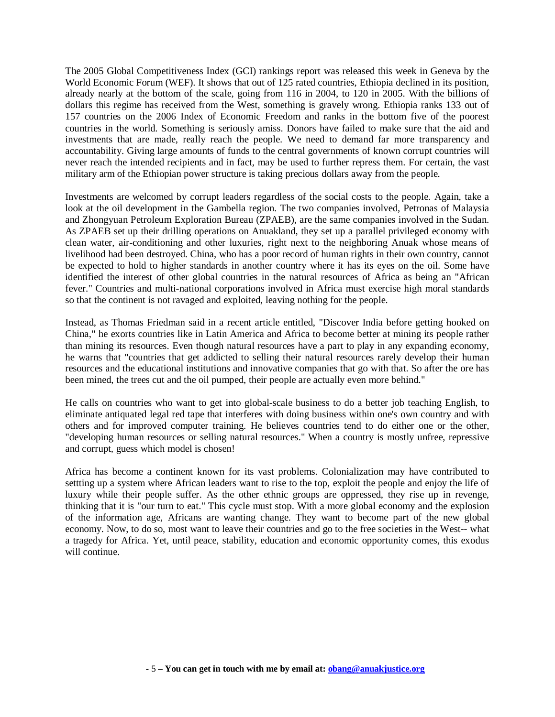The 2005 Global Competitiveness Index (GCI) rankings report was released this week in Geneva by the World Economic Forum (WEF). It shows that out of 125 rated countries, Ethiopia declined in its position, already nearly at the bottom of the scale, going from 116 in 2004, to 120 in 2005. With the billions of dollars this regime has received from the West, something is gravely wrong. Ethiopia ranks 133 out of 157 countries on the 2006 Index of Economic Freedom and ranks in the bottom five of the poorest countries in the world. Something is seriously amiss. Donors have failed to make sure that the aid and investments that are made, really reach the people. We need to demand far more transparency and accountability. Giving large amounts of funds to the central governments of known corrupt countries will never reach the intended recipients and in fact, may be used to further repress them. For certain, the vast military arm of the Ethiopian power structure is taking precious dollars away from the people.

Investments are welcomed by corrupt leaders regardless of the social costs to the people. Again, take a look at the oil development in the Gambella region. The two companies involved, Petronas of Malaysia and Zhongyuan Petroleum Exploration Bureau (ZPAEB), are the same companies involved in the Sudan. As ZPAEB set up their drilling operations on Anuakland, they set up a parallel privileged economy with clean water, air-conditioning and other luxuries, right next to the neighboring Anuak whose means of livelihood had been destroyed. China, who has a poor record of human rights in their own country, cannot be expected to hold to higher standards in another country where it has its eyes on the oil. Some have identified the interest of other global countries in the natural resources of Africa as being an "African fever." Countries and multi-national corporations involved in Africa must exercise high moral standards so that the continent is not ravaged and exploited, leaving nothing for the people.

Instead, as Thomas Friedman said in a recent article entitled, "Discover India before getting hooked on China," he exorts countries like in Latin America and Africa to become better at mining its people rather than mining its resources. Even though natural resources have a part to play in any expanding economy, he warns that "countries that get addicted to selling their natural resources rarely develop their human resources and the educational institutions and innovative companies that go with that. So after the ore has been mined, the trees cut and the oil pumped, their people are actually even more behind."

He calls on countries who want to get into global-scale business to do a better job teaching English, to eliminate antiquated legal red tape that interferes with doing business within one's own country and with others and for improved computer training. He believes countries tend to do either one or the other, "developing human resources or selling natural resources." When a country is mostly unfree, repressive and corrupt, guess which model is chosen!

Africa has become a continent known for its vast problems. Colonialization may have contributed to settting up a system where African leaders want to rise to the top, exploit the people and enjoy the life of luxury while their people suffer. As the other ethnic groups are oppressed, they rise up in revenge, thinking that it is "our turn to eat." This cycle must stop. With a more global economy and the explosion of the information age, Africans are wanting change. They want to become part of the new global economy. Now, to do so, most want to leave their countries and go to the free societies in the West-- what a tragedy for Africa. Yet, until peace, stability, education and economic opportunity comes, this exodus will continue.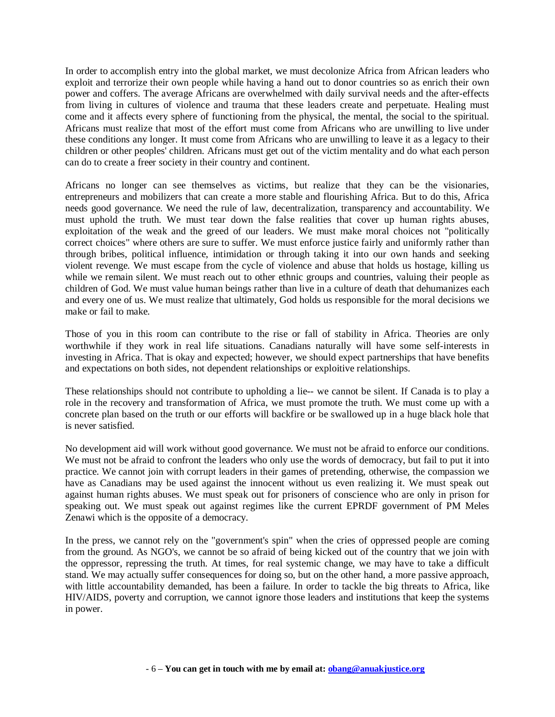In order to accomplish entry into the global market, we must decolonize Africa from African leaders who exploit and terrorize their own people while having a hand out to donor countries so as enrich their own power and coffers. The average Africans are overwhelmed with daily survival needs and the after-effects from living in cultures of violence and trauma that these leaders create and perpetuate. Healing must come and it affects every sphere of functioning from the physical, the mental, the social to the spiritual. Africans must realize that most of the effort must come from Africans who are unwilling to live under these conditions any longer. It must come from Africans who are unwilling to leave it as a legacy to their children or other peoples' children. Africans must get out of the victim mentality and do what each person can do to create a freer society in their country and continent.

Africans no longer can see themselves as victims, but realize that they can be the visionaries, entrepreneurs and mobilizers that can create a more stable and flourishing Africa. But to do this, Africa needs good governance. We need the rule of law, decentralization, transparency and accountability. We must uphold the truth. We must tear down the false realities that cover up human rights abuses, exploitation of the weak and the greed of our leaders. We must make moral choices not "politically correct choices" where others are sure to suffer. We must enforce justice fairly and uniformly rather than through bribes, political influence, intimidation or through taking it into our own hands and seeking violent revenge. We must escape from the cycle of violence and abuse that holds us hostage, killing us while we remain silent. We must reach out to other ethnic groups and countries, valuing their people as children of God. We must value human beings rather than live in a culture of death that dehumanizes each and every one of us. We must realize that ultimately, God holds us responsible for the moral decisions we make or fail to make.

Those of you in this room can contribute to the rise or fall of stability in Africa. Theories are only worthwhile if they work in real life situations. Canadians naturally will have some self-interests in investing in Africa. That is okay and expected; however, we should expect partnerships that have benefits and expectations on both sides, not dependent relationships or exploitive relationships.

These relationships should not contribute to upholding a lie-- we cannot be silent. If Canada is to play a role in the recovery and transformation of Africa, we must promote the truth. We must come up with a concrete plan based on the truth or our efforts will backfire or be swallowed up in a huge black hole that is never satisfied.

No development aid will work without good governance. We must not be afraid to enforce our conditions. We must not be afraid to confront the leaders who only use the words of democracy, but fail to put it into practice. We cannot join with corrupt leaders in their games of pretending, otherwise, the compassion we have as Canadians may be used against the innocent without us even realizing it. We must speak out against human rights abuses. We must speak out for prisoners of conscience who are only in prison for speaking out. We must speak out against regimes like the current EPRDF government of PM Meles Zenawi which is the opposite of a democracy.

In the press, we cannot rely on the "government's spin" when the cries of oppressed people are coming from the ground. As NGO's, we cannot be so afraid of being kicked out of the country that we join with the oppressor, repressing the truth. At times, for real systemic change, we may have to take a difficult stand. We may actually suffer consequences for doing so, but on the other hand, a more passive approach, with little accountability demanded, has been a failure. In order to tackle the big threats to Africa, like HIV/AIDS, poverty and corruption, we cannot ignore those leaders and institutions that keep the systems in power.